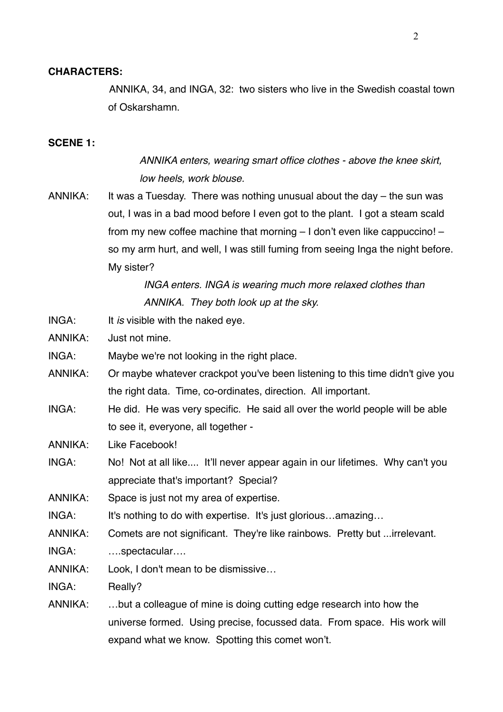## **CHARACTERS:**

ANNIKA, 34, and INGA, 32: two sisters who live in the Swedish coastal town of Oskarshamn.

## **SCENE 1:**

*ANNIKA enters, wearing smart office clothes - above the knee skirt, low heels, work blouse.* 

ANNIKA: It was a Tuesday. There was nothing unusual about the day – the sun was out, I was in a bad mood before I even got to the plant. I got a steam scald from my new coffee machine that morning – I don't even like cappuccino! – so my arm hurt, and well, I was still fuming from seeing Inga the night before. My sister?

> *INGA enters. INGA is wearing much more relaxed clothes than ANNIKA. They both look up at the sky.*

- INGA: It *is* visible with the naked eye.
- ANNIKA: Just not mine.
- INGA: Maybe we're not looking in the right place.
- ANNIKA: Or maybe whatever crackpot you've been listening to this time didn't give you the right data. Time, co-ordinates, direction. All important.
- INGA: He did. He was very specific. He said all over the world people will be able to see it, everyone, all together -
- ANNIKA: Like Facebook!
- INGA: No! Not at all like.... It'll never appear again in our lifetimes. Why can't you appreciate that's important? Special?
- ANNIKA: Space is just not my area of expertise.
- INGA: It's nothing to do with expertise. It's just glorious…amazing…
- ANNIKA: Comets are not significant. They're like rainbows. Pretty but ...irrelevant.
- INGA: ….spectacular….
- ANNIKA: Look, I don't mean to be dismissive…
- INGA: Really?
- ANNIKA: …but a colleague of mine is doing cutting edge research into how the universe formed. Using precise, focussed data. From space. His work will expand what we know. Spotting this comet won't.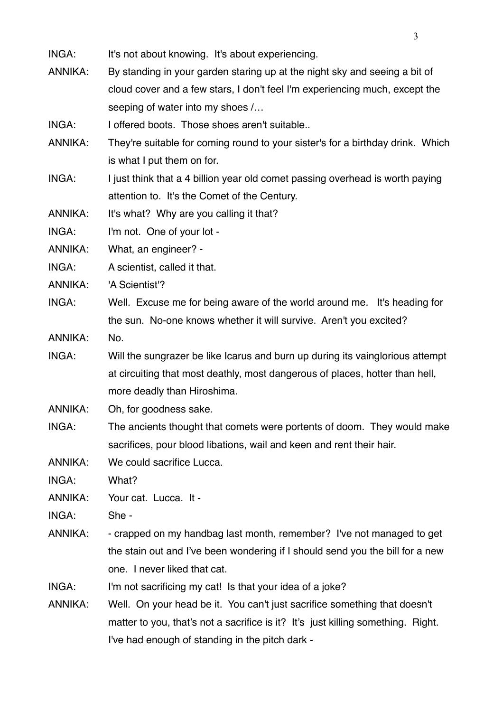INGA: It's not about knowing. It's about experiencing.

ANNIKA: By standing in your garden staring up at the night sky and seeing a bit of cloud cover and a few stars, I don't feel I'm experiencing much, except the seeping of water into my shoes  $/$ ...

INGA: I offered boots. Those shoes aren't suitable..

- ANNIKA: They're suitable for coming round to your sister's for a birthday drink. Which is what I put them on for.
- INGA: I just think that a 4 billion year old comet passing overhead is worth paying attention to. It's the Comet of the Century.
- ANNIKA: It's what? Why are you calling it that?

INGA: I'm not. One of your lot -

ANNIKA: What, an engineer? -

INGA: A scientist, called it that.

ANNIKA: 'A Scientist'?

- INGA: Well. Excuse me for being aware of the world around me. It's heading for the sun. No-one knows whether it will survive. Aren't you excited?
- ANNIKA: No.
- INGA: Will the sungrazer be like Icarus and burn up during its vainglorious attempt at circuiting that most deathly, most dangerous of places, hotter than hell, more deadly than Hiroshima.

ANNIKA: Oh, for goodness sake.

INGA: The ancients thought that comets were portents of doom. They would make sacrifices, pour blood libations, wail and keen and rent their hair.

ANNIKA: We could sacrifice Lucca.

INGA: What?

ANNIKA: Your cat. Lucca. It -

INGA: She -

- ANNIKA: crapped on my handbag last month, remember? I've not managed to get the stain out and I've been wondering if I should send you the bill for a new one. I never liked that cat.
- INGA: I'm not sacrificing my cat! Is that your idea of a joke?
- ANNIKA: Well. On your head be it. You can't just sacrifice something that doesn't matter to you, that's not a sacrifice is it? It's just killing something. Right. I've had enough of standing in the pitch dark -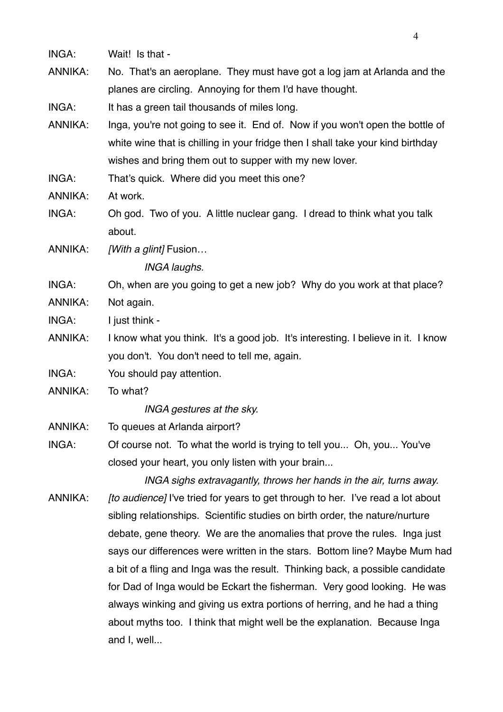INGA: Wait! Is that -

- ANNIKA: No. That's an aeroplane. They must have got a log jam at Arlanda and the planes are circling. Annoying for them I'd have thought.
- INGA: It has a green tail thousands of miles long.
- ANNIKA: Inga, you're not going to see it. End of. Now if you won't open the bottle of white wine that is chilling in your fridge then I shall take your kind birthday wishes and bring them out to supper with my new lover.
- INGA: That's quick. Where did you meet this one?
- ANNIKA: At work.
- INGA: Oh god. Two of you. A little nuclear gang. I dread to think what you talk about.
- ANNIKA: *[With a glint]* Fusion… *INGA laughs.*
- INGA: Oh, when are you going to get a new job? Why do you work at that place? ANNIKA: Not again.
- INGA: I just think -
- ANNIKA: I know what you think. It's a good job. It's interesting. I believe in it. I know you don't. You don't need to tell me, again.
- INGA: You should pay attention.
- ANNIKA: To what?

*INGA gestures at the sky.*

- ANNIKA: To queues at Arlanda airport?
- INGA: Of course not. To what the world is trying to tell you... Oh, you... You've closed your heart, you only listen with your brain...

*INGA sighs extravagantly, throws her hands in the air, turns away.* 

ANNIKA: *[to audience]* I've tried for years to get through to her. I've read a lot about sibling relationships. Scientific studies on birth order, the nature/nurture debate, gene theory. We are the anomalies that prove the rules. Inga just says our differences were written in the stars. Bottom line? Maybe Mum had a bit of a fling and Inga was the result. Thinking back, a possible candidate for Dad of Inga would be Eckart the fisherman. Very good looking. He was always winking and giving us extra portions of herring, and he had a thing about myths too. I think that might well be the explanation. Because Inga and I, well...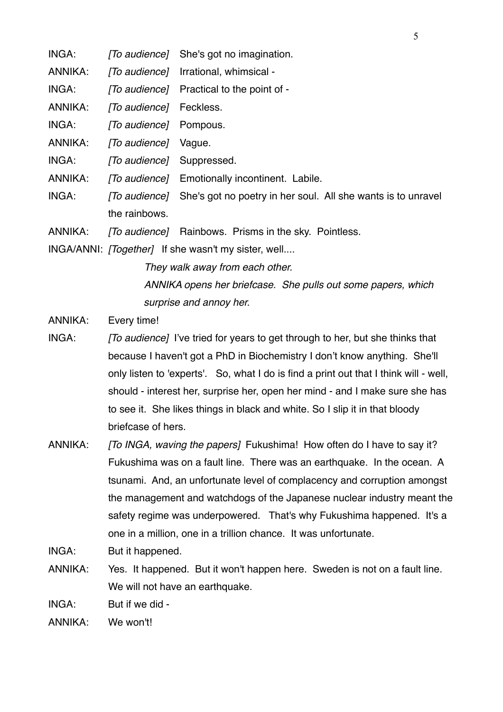- INGA: *[To audience]* She's got no imagination.
- ANNIKA: *[To audience]* Irrational, whimsical -
- INGA: *[To audience]* Practical to the point of -
- ANNIKA: *[To audience]* Feckless.
- INGA: *[To audience]* Pompous.
- ANNIKA: *[To audience]* Vague.
- INGA: *[To audience]* Suppressed.
- ANNIKA: *[To audience]* Emotionally incontinent. Labile.
- INGA: *[To audience]* She's got no poetry in her soul. All she wants is to unravel the rainbows.
- ANNIKA: *[To audience]* Rainbows. Prisms in the sky. Pointless.
- INGA/ANNI: *[Together]* If she wasn't my sister, well....

*They walk away from each other. ANNIKA opens her briefcase. She pulls out some papers, which surprise and annoy her.*

- ANNIKA: Every time!
- INGA: *[To audience]* I've tried for years to get through to her, but she thinks that because I haven't got a PhD in Biochemistry I don't know anything. She'll only listen to 'experts'. So, what I do is find a print out that I think will - well, should - interest her, surprise her, open her mind - and I make sure she has to see it. She likes things in black and white. So I slip it in that bloody briefcase of hers.
- ANNIKA: *[To INGA, waving the papers]* Fukushima! How often do I have to say it? Fukushima was on a fault line. There was an earthquake. In the ocean. A tsunami. And, an unfortunate level of complacency and corruption amongst the management and watchdogs of the Japanese nuclear industry meant the safety regime was underpowered. That's why Fukushima happened. It's a one in a million, one in a trillion chance. It was unfortunate.
- INGA: But it happened.
- ANNIKA: Yes. It happened. But it won't happen here. Sweden is not on a fault line. We will not have an earthquake.
- INGA: But if we did -
- ANNIKA: We won't!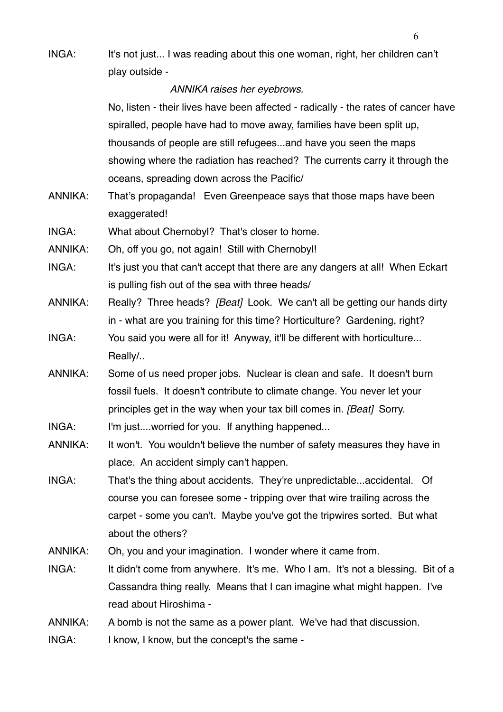INGA: It's not just... I was reading about this one woman, right, her children can't play outside -

## *ANNIKA raises her eyebrows.*

No, listen - their lives have been affected - radically - the rates of cancer have spiralled, people have had to move away, families have been split up, thousands of people are still refugees...and have you seen the maps showing where the radiation has reached? The currents carry it through the oceans, spreading down across the Pacific/

- ANNIKA: That's propaganda! Even Greenpeace says that those maps have been exaggerated!
- INGA: What about Chernobyl? That's closer to home.
- ANNIKA: Oh, off you go, not again! Still with Chernobyl!
- INGA: It's just you that can't accept that there are any dangers at all! When Eckart is pulling fish out of the sea with three heads/
- ANNIKA: Really? Three heads? *[Beat]* Look. We can't all be getting our hands dirty in - what are you training for this time? Horticulture? Gardening, right?
- INGA: You said you were all for it! Anyway, it'll be different with horticulture... Really/..
- ANNIKA: Some of us need proper jobs. Nuclear is clean and safe. It doesn't burn fossil fuels. It doesn't contribute to climate change. You never let your principles get in the way when your tax bill comes in. *[Beat]* Sorry.
- INGA: I'm just....worried for you. If anything happened...
- ANNIKA: It won't. You wouldn't believe the number of safety measures they have in place. An accident simply can't happen.
- INGA: That's the thing about accidents. They're unpredictable...accidental. Of course you can foresee some - tripping over that wire trailing across the carpet - some you can't. Maybe you've got the tripwires sorted. But what about the others?
- ANNIKA: Oh, you and your imagination. I wonder where it came from.
- INGA: It didn't come from anywhere. It's me. Who I am. It's not a blessing. Bit of a Cassandra thing really. Means that I can imagine what might happen. I've read about Hiroshima -
- ANNIKA: A bomb is not the same as a power plant. We've had that discussion.
- INGA: I know, I know, but the concept's the same -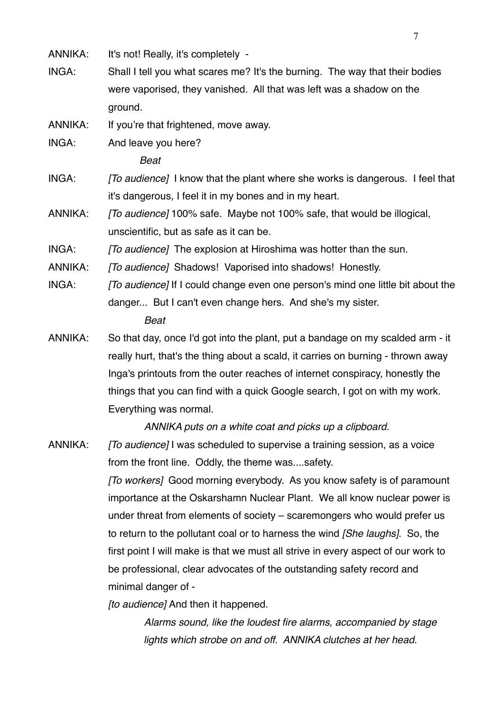ANNIKA: It's not! Really, it's completely -

- INGA: Shall I tell you what scares me? It's the burning. The way that their bodies were vaporised, they vanished. All that was left was a shadow on the ground.
- ANNIKA: If you're that frightened, move away.

INGA: And leave you here?

*Beat*

- INGA: *[To audience]* I know that the plant where she works is dangerous. I feel that it's dangerous, I feel it in my bones and in my heart.
- ANNIKA: *[To audience]* 100% safe. Maybe not 100% safe, that would be illogical, unscientific, but as safe as it can be.
- INGA: *[To audience]* The explosion at Hiroshima was hotter than the sun.
- ANNIKA: *[To audience]* Shadows! Vaporised into shadows! Honestly.
- INGA: *[To audience]* If I could change even one person's mind one little bit about the danger... But I can't even change hers. And she's my sister.

*Beat*

ANNIKA: So that day, once I'd got into the plant, put a bandage on my scalded arm - it really hurt, that's the thing about a scald, it carries on burning - thrown away Inga's printouts from the outer reaches of internet conspiracy, honestly the things that you can find with a quick Google search, I got on with my work. Everything was normal.

*ANNIKA puts on a white coat and picks up a clipboard.*

ANNIKA: *[To audience]* I was scheduled to supervise a training session, as a voice from the front line. Oddly, the theme was....safety. *[To workers]* Good morning everybody. As you know safety is of paramount importance at the Oskarshamn Nuclear Plant. We all know nuclear power is under threat from elements of society – scaremongers who would prefer us to return to the pollutant coal or to harness the wind *[She laughs]*. So, the first point I will make is that we must all strive in every aspect of our work to be professional, clear advocates of the outstanding safety record and minimal danger of -

*[to audience]* And then it happened.

*Alarms sound, like the loudest fire alarms, accompanied by stage lights which strobe on and off. ANNIKA clutches at her head.*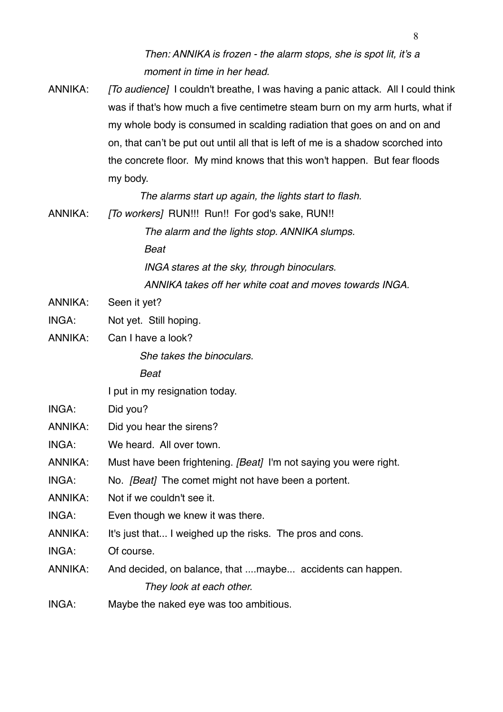*Then: ANNIKA is frozen - the alarm stops, she is spot lit, it's a moment in time in her head.* 

ANNIKA: *[To audience]* I couldn't breathe, I was having a panic attack. All I could think was if that's how much a five centimetre steam burn on my arm hurts, what if my whole body is consumed in scalding radiation that goes on and on and on, that can't be put out until all that is left of me is a shadow scorched into the concrete floor. My mind knows that this won't happen. But fear floods my body.

*The alarms start up again, the lights start to flash.*

ANNIKA: *[To workers]* RUN!!! Run!! For god's sake, RUN!! *The alarm and the lights stop. ANNIKA slumps.*

*Beat*

*INGA stares at the sky, through binoculars.*

- *ANNIKA takes off her white coat and moves towards INGA.*
- ANNIKA: Seen it yet?
- INGA: Not yet. Still hoping.
- ANNIKA: Can I have a look? *She takes the binoculars.* 
	- *Beat*

I put in my resignation today.

- INGA: Did you?
- ANNIKA: Did you hear the sirens?
- INGA: We heard. All over town.
- ANNIKA: Must have been frightening. *[Beat]* I'm not saying you were right.
- INGA: No. *[Beat]* The comet might not have been a portent.
- ANNIKA: Not if we couldn't see it.
- INGA: Even though we knew it was there.
- ANNIKA: It's just that... I weighed up the risks. The pros and cons.
- INGA: Of course.
- ANNIKA: And decided, on balance, that ....maybe... accidents can happen. *They look at each other.*
- INGA: Maybe the naked eye was too ambitious.